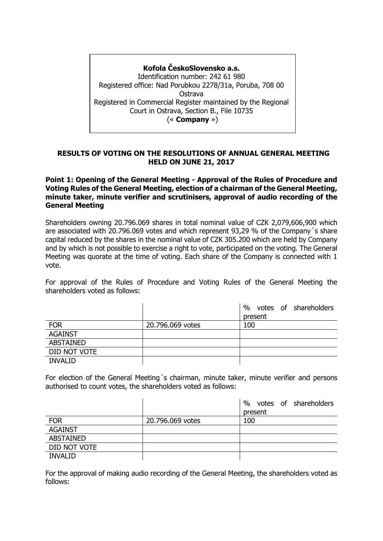# **Kofola ČeskoSlovensko a.s.** Identification number: 242 61 980 Registered office: Nad Porubkou 2278/31a, Poruba, 708 00 Ostrava Registered in Commercial Register maintained by the Regional Court in Ostrava, Section B., File 10735 (« **Company** »)

## **RESULTS OF VOTING ON THE RESOLUTIONS OF ANNUAL GENERAL MEETING HELD ON JUNE 21, 2017**

**Point 1: Opening of the General Meeting - Approval of the Rules of Procedure and Voting Rules of the General Meeting, election of a chairman of the General Meeting, minute taker, minute verifier and scrutinisers, approval of audio recording of the General Meeting**

Shareholders owning 20.796.069 shares in total nominal value of CZK 2,079,606,900 which are associated with 20.796.069 votes and which represent 93,29 % of the Company´s share capital reduced by the shares in the nominal value of CZK 305.200 which are held by Company and by which is not possible to exercise a right to vote, participated on the voting. The General Meeting was quorate at the time of voting. Each share of the Company is connected with 1 vote.

For approval of the Rules of Procedure and Voting Rules of the General Meeting the shareholders voted as follows:

|                |                  | votes of shareholders<br>% |
|----------------|------------------|----------------------------|
|                |                  | present                    |
| <b>FOR</b>     | 20.796.069 votes | 100                        |
| <b>AGAINST</b> |                  |                            |
| ABSTAINED      |                  |                            |
| DID NOT VOTE   |                  |                            |
| <b>INVALID</b> |                  |                            |

For election of the General Meeting´s chairman, minute taker, minute verifier and persons authorised to count votes, the shareholders voted as follows:

|                  |                  | votes of shareholders<br>$\%$ |
|------------------|------------------|-------------------------------|
|                  |                  | present                       |
| <b>FOR</b>       | 20.796.069 votes | 100                           |
| <b>AGAINST</b>   |                  |                               |
| <b>ABSTAINED</b> |                  |                               |
| DID NOT VOTE     |                  |                               |
| <b>INVALID</b>   |                  |                               |

For the approval of making audio recording of the General Meeting, the shareholders voted as follows: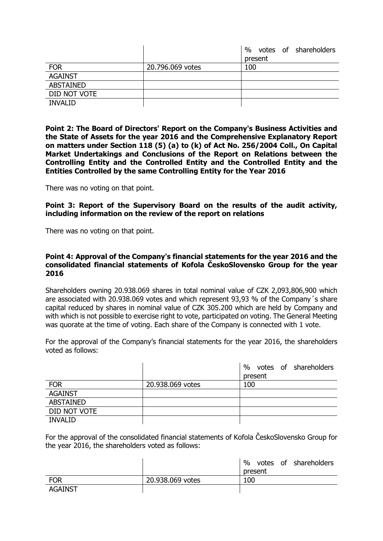|                  |                  | $\%$<br>votes of shareholders |
|------------------|------------------|-------------------------------|
|                  |                  | present                       |
| <b>FOR</b>       | 20.796.069 votes | 100                           |
| <b>AGAINST</b>   |                  |                               |
| <b>ABSTAINED</b> |                  |                               |
| DID NOT VOTE     |                  |                               |
| <b>INVALID</b>   |                  |                               |

**Point 2: The Board of Directors' Report on the Company's Business Activities and the State of Assets for the year 2016 and the Comprehensive Explanatory Report on matters under Section 118 (5) (a) to (k) of Act No. 256/2004 Coll., On Capital Market Undertakings and Conclusions of the Report on Relations between the Controlling Entity and the Controlled Entity and the Controlled Entity and the Entities Controlled by the same Controlling Entity for the Year 2016**

There was no voting on that point.

**Point 3: Report of the Supervisory Board on the results of the audit activity, including information on the review of the report on relations**

There was no voting on that point.

## **Point 4: Approval of the Company's financial statements for the year 2016 and the consolidated financial statements of Kofola ČeskoSlovensko Group for the year 2016**

Shareholders owning 20.938.069 shares in total nominal value of CZK 2,093,806,900 which are associated with 20.938.069 votes and which represent 93,93 % of the Company´s share capital reduced by shares in nominal value of CZK 305.200 which are held by Company and with which is not possible to exercise right to vote, participated on voting. The General Meeting was quorate at the time of voting. Each share of the Company is connected with 1 vote.

For the approval of the Company's financial statements for the year 2016, the shareholders voted as follows:

|                  |                  | votes of shareholders<br>$\%$ |
|------------------|------------------|-------------------------------|
|                  |                  | present                       |
| <b>FOR</b>       | 20.938.069 votes | 100                           |
| <b>AGAINST</b>   |                  |                               |
| <b>ABSTAINED</b> |                  |                               |
| DID NOT VOTE     |                  |                               |
| <b>INVALID</b>   |                  |                               |

For the approval of the consolidated financial statements of Kofola ČeskoSlovensko Group for the year 2016, the shareholders voted as follows:

|                |                  | $\%$ |         | votes of shareholders |
|----------------|------------------|------|---------|-----------------------|
|                |                  |      | present |                       |
| <b>FOR</b>     | 20.938.069 votes | 100  |         |                       |
| <b>AGAINST</b> |                  |      |         |                       |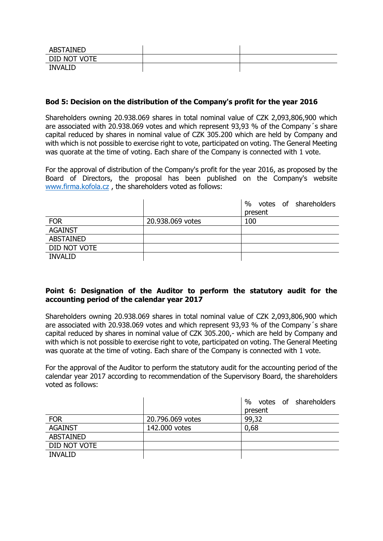| <b>ABSTAINED</b> |  |
|------------------|--|
| DID NOT VOTE     |  |
| <b>INVALID</b>   |  |

## **Bod 5: Decision on the distribution of the Company's profit for the year 2016**

Shareholders owning 20.938.069 shares in total nominal value of CZK 2,093,806,900 which are associated with 20.938.069 votes and which represent 93,93 % of the Company´s share capital reduced by shares in nominal value of CZK 305.200 which are held by Company and with which is not possible to exercise right to vote, participated on voting. The General Meeting was quorate at the time of voting. Each share of the Company is connected with 1 vote.

For the approval of distribution of the Company's profit for the year 2016, as proposed by the Board of Directors, the proposal has been published on the Company's website [www.firma.kofola.cz](http://www.firma.kofola.cz/) , the shareholders voted as follows:

|                  |                  | $\%$<br>votes of shareholders |
|------------------|------------------|-------------------------------|
|                  |                  | present                       |
| <b>FOR</b>       | 20.938.069 votes | 100                           |
| <b>AGAINST</b>   |                  |                               |
| <b>ABSTAINED</b> |                  |                               |
| DID NOT VOTE     |                  |                               |
| <b>INVALID</b>   |                  |                               |

## **Point 6: Designation of the Auditor to perform the statutory audit for the accounting period of the calendar year 2017**

Shareholders owning 20.938.069 shares in total nominal value of CZK 2,093,806,900 which are associated with 20.938.069 votes and which represent 93,93 % of the Company´s share capital reduced by shares in nominal value of CZK 305.200,- which are held by Company and with which is not possible to exercise right to vote, participated on voting. The General Meeting was quorate at the time of voting. Each share of the Company is connected with 1 vote.

For the approval of the Auditor to perform the statutory audit for the accounting period of the calendar year 2017 according to recommendation of the Supervisory Board, the shareholders voted as follows:

|                  |                  | votes of shareholders<br>$\%$ |
|------------------|------------------|-------------------------------|
|                  |                  | present                       |
| <b>FOR</b>       | 20.796.069 votes | 99,32                         |
| <b>AGAINST</b>   | 142.000 votes    | 0,68                          |
| <b>ABSTAINED</b> |                  |                               |
| DID NOT VOTE     |                  |                               |
| <b>INVALID</b>   |                  |                               |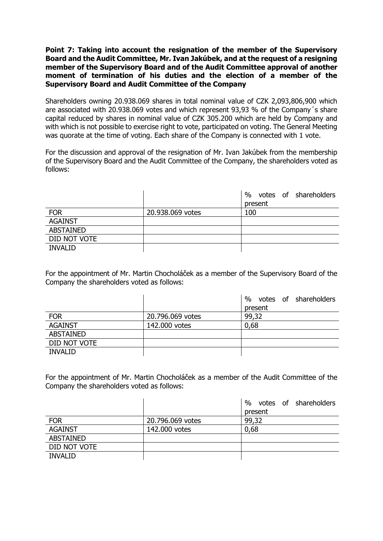## **Point 7: Taking into account the resignation of the member of the Supervisory Board and the Audit Committee, Mr. Ivan Jakúbek, and at the request of a resigning member of the Supervisory Board and of the Audit Committee approval of another moment of termination of his duties and the election of a member of the Supervisory Board and Audit Committee of the Company**

Shareholders owning 20.938.069 shares in total nominal value of CZK 2,093,806,900 which are associated with 20.938.069 votes and which represent 93,93 % of the Company´s share capital reduced by shares in nominal value of CZK 305.200 which are held by Company and with which is not possible to exercise right to vote, participated on voting. The General Meeting was quorate at the time of voting. Each share of the Company is connected with 1 vote.

For the discussion and approval of the resignation of Mr. Ivan Jakúbek from the membership of the Supervisory Board and the Audit Committee of the Company, the shareholders voted as follows:

|                  |                  | votes of shareholders<br>$\%$ |
|------------------|------------------|-------------------------------|
|                  |                  | present                       |
| <b>FOR</b>       | 20.938.069 votes | 100                           |
| <b>AGAINST</b>   |                  |                               |
| <b>ABSTAINED</b> |                  |                               |
| DID NOT VOTE     |                  |                               |
| <b>INVALID</b>   |                  |                               |

For the appointment of Mr. Martin Chocholáček as a member of the Supervisory Board of the Company the shareholders voted as follows:

|                  |                  | %<br>votes of shareholders |
|------------------|------------------|----------------------------|
|                  |                  | present                    |
| <b>FOR</b>       | 20.796.069 votes | 99,32                      |
| <b>AGAINST</b>   | 142.000 votes    | 0,68                       |
| <b>ABSTAINED</b> |                  |                            |
| DID NOT VOTE     |                  |                            |
| <b>INVALID</b>   |                  |                            |

For the appointment of Mr. Martin Chocholáček as a member of the Audit Committee of the Company the shareholders voted as follows:

|                |                  | %<br>votes of shareholders |
|----------------|------------------|----------------------------|
|                |                  | present                    |
| <b>FOR</b>     | 20.796.069 votes | 99,32                      |
| <b>AGAINST</b> | 142.000 votes    | 0,68                       |
| ABSTAINED      |                  |                            |
| DID NOT VOTE   |                  |                            |
| <b>INVALID</b> |                  |                            |